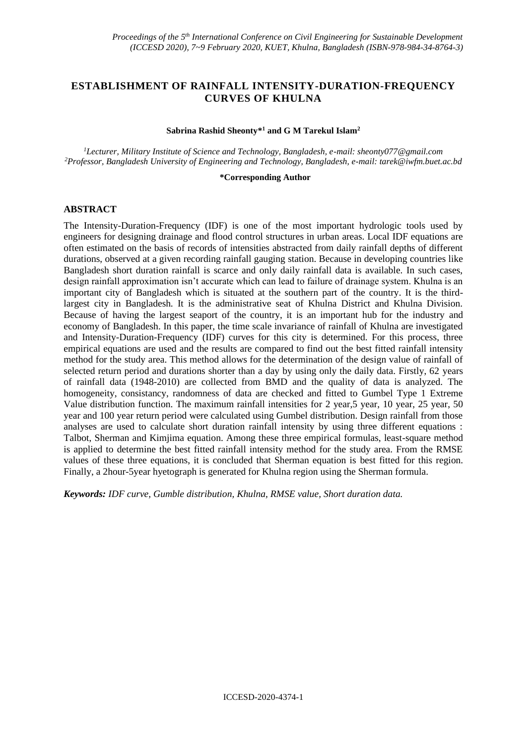# **ESTABLISHMENT OF RAINFALL INTENSITY-DURATION-FREQUENCY CURVES OF KHULNA**

#### **Sabrina Rashid Sheonty\* <sup>1</sup> and G M Tarekul Islam<sup>2</sup>**

*<sup>1</sup>Lecturer, Military Institute of Science and Technology, Bangladesh, e-mail: sheonty077@gmail.com <sup>2</sup>Professor, Bangladesh University of Engineering and Technology, Bangladesh, e-mail: tarek@iwfm.buet.ac.bd*

#### **\*Corresponding Author**

#### **ABSTRACT**

The Intensity-Duration-Frequency (IDF) is one of the most important hydrologic tools used by engineers for designing drainage and flood control structures in urban areas. Local IDF equations are often estimated on the basis of records of intensities abstracted from daily rainfall depths of different durations, observed at a given recording rainfall gauging station. Because in developing countries like Bangladesh short duration rainfall is scarce and only daily rainfall data is available. In such cases, design rainfall approximation isn't accurate which can lead to failure of drainage system. Khulna is an important city of Bangladesh which is situated at the southern part of the country. It is the thirdlargest city in Bangladesh. It is the administrative seat of Khulna District and Khulna Division. Because of having the largest seaport of the country, it is an important hub for the industry and economy of Bangladesh. In this paper, the time scale invariance of rainfall of Khulna are investigated and Intensity-Duration-Frequency (IDF) curves for this city is determined. For this process, three empirical equations are used and the results are compared to find out the best fitted rainfall intensity method for the study area. This method allows for the determination of the design value of rainfall of selected return period and durations shorter than a day by using only the daily data. Firstly, 62 years of rainfall data (1948-2010) are collected from BMD and the quality of data is analyzed. The homogeneity, consistancy, randomness of data are checked and fitted to Gumbel Type 1 Extreme Value distribution function. The maximum rainfall intensities for 2 year,5 year, 10 year, 25 year, 50 year and 100 year return period were calculated using Gumbel distribution. Design rainfall from those analyses are used to calculate short duration rainfall intensity by using three different equations : Talbot, Sherman and Kimjima equation. Among these three empirical formulas, least-square method is applied to determine the best fitted rainfall intensity method for the study area. From the RMSE values of these three equations, it is concluded that Sherman equation is best fitted for this region. Finally, a 2hour-5year hyetograph is generated for Khulna region using the Sherman formula.

*Keywords: IDF curve, Gumble distribution, Khulna, RMSE value, Short duration data.*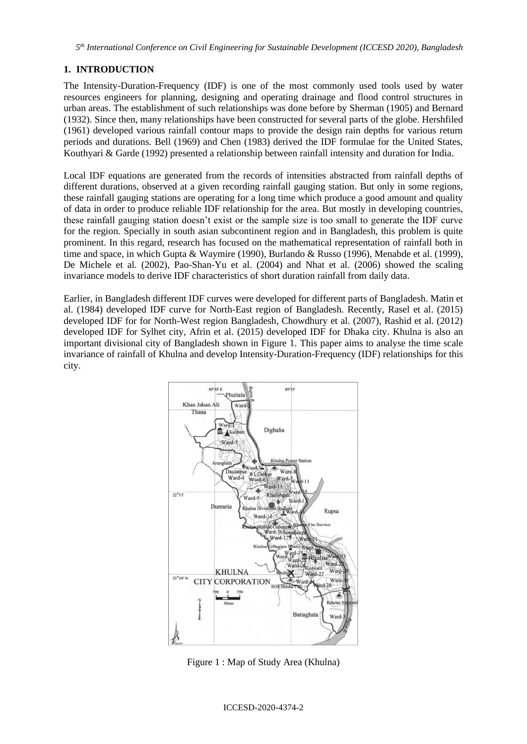# **1. INTRODUCTION**

The Intensity-Duration-Frequency (IDF) is one of the most commonly used tools used by water resources engineers for planning, designing and operating drainage and flood control structures in urban areas. The establishment of such relationships was done before by Sherman (1905) and Bernard (1932). Since then, many relationships have been constructed for several parts of the globe. Hershfiled (1961) developed various rainfall contour maps to provide the design rain depths for various return periods and durations. Bell (1969) and Chen (1983) derived the IDF formulae for the United States, Kouthyari & Garde (1992) presented a relationship between rainfall intensity and duration for India.

Local IDF equations are generated from the records of intensities abstracted from rainfall depths of different durations, observed at a given recording rainfall gauging station. But only in some regions, these rainfall gauging stations are operating for a long time which produce a good amount and quality of data in order to produce reliable IDF relationship for the area. But mostly in developing countries, these rainfall gauging station doesn't exist or the sample size is too small to generate the IDF curve for the region. Specially in south asian subcontinent region and in Bangladesh, this problem is quite prominent. In this regard, research has focused on the mathematical representation of rainfall both in time and space, in which Gupta & Waymire (1990), Burlando & Russo (1996), Menabde et al. (1999), De Michele et al. (2002), Pao-Shan-Yu et al. (2004) and Nhat et al. (2006) showed the scaling invariance models to derive IDF characteristics of short duration rainfall from daily data.

Earlier, in Bangladesh different IDF curves were developed for different parts of Bangladesh. Matin et al. (1984) developed IDF curve for North-East region of Bangladesh. Recently, Rasel et al. (2015) developed IDF for for North-West region Bangladesh, Chowdhury et al. (2007), Rashid et al. (2012) developed IDF for Sylhet city, Afrin et al. (2015) developed IDF for Dhaka city. Khulna is also an important divisional city of Bangladesh shown in Figure 1. This paper aims to analyse the time scale invariance of rainfall of Khulna and develop Intensity-Duration-Frequency (IDF) relationships for this city.



Figure 1 : Map of Study Area (Khulna)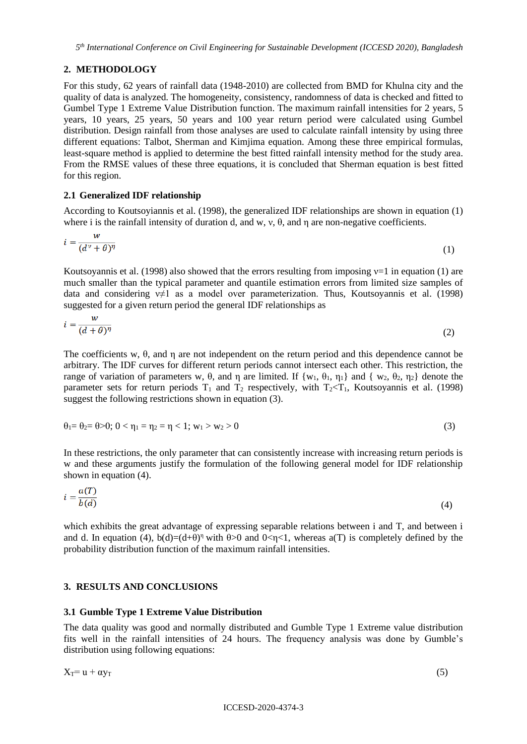## **2. METHODOLOGY**

For this study, 62 years of rainfall data (1948-2010) are collected from BMD for Khulna city and the quality of data is analyzed. The homogeneity, consistency, randomness of data is checked and fitted to Gumbel Type 1 Extreme Value Distribution function. The maximum rainfall intensities for 2 years, 5 years, 10 years, 25 years, 50 years and 100 year return period were calculated using Gumbel distribution. Design rainfall from those analyses are used to calculate rainfall intensity by using three different equations: Talbot, Sherman and Kimjima equation. Among these three empirical formulas, least-square method is applied to determine the best fitted rainfall intensity method for the study area. From the RMSE values of these three equations, it is concluded that Sherman equation is best fitted for this region.

#### **2.1 Generalized IDF relationship**

According to Koutsoyiannis et al. (1998), the generalized IDF relationships are shown in equation (1) where i is the rainfall intensity of duration d, and w, v,  $\theta$ , and n are non-negative coefficients.

$$
i = \frac{w}{(d^{\nu} + \theta)^{\eta}}
$$
 (1)

Koutsoyannis et al. (1998) also showed that the errors resulting from imposing  $v=1$  in equation (1) are much smaller than the typical parameter and quantile estimation errors from limited size samples of data and considering  $v\neq 1$  as a model over parameterization. Thus, Koutsoyannis et al. (1998) suggested for a given return period the general IDF relationships as

$$
i = \frac{w}{(d+\theta)^{\eta}}
$$
 (2)

The coefficients w, θ, and η are not independent on the return period and this dependence cannot be arbitrary. The IDF curves for different return periods cannot intersect each other. This restriction, the range of variation of parameters w, θ, and η are limited. If  $\{w_1, \theta_1, \eta_1\}$  and  $\{w_2, \theta_2, \eta_2\}$  denote the parameter sets for return periods  $T_1$  and  $T_2$  respectively, with  $T_2 < T_1$ , Koutsoyannis et al. (1998) suggest the following restrictions shown in equation (3).

$$
\theta_1 = \theta_2 = \theta > 0; \quad 0 < \eta_1 = \eta_2 = \eta < 1; \quad w_1 > w_2 > 0 \tag{3}
$$

In these restrictions, the only parameter that can consistently increase with increasing return periods is w and these arguments justify the formulation of the following general model for IDF relationship shown in equation (4).

$$
i = \frac{a(T)}{b(d)}\tag{4}
$$

which exhibits the great advantage of expressing separable relations between i and T, and between i and d. In equation (4),  $b(d)=(d+\theta)^{\eta}$  with  $\theta>0$  and  $0<\eta<1$ , whereas a(T) is completely defined by the probability distribution function of the maximum rainfall intensities.

### **3. RESULTS AND CONCLUSIONS**

#### **3.1 Gumble Type 1 Extreme Value Distribution**

The data quality was good and normally distributed and Gumble Type 1 Extreme value distribution fits well in the rainfall intensities of 24 hours. The frequency analysis was done by Gumble's distribution using following equations:

 $X_T = u + \alpha y_T$  (5)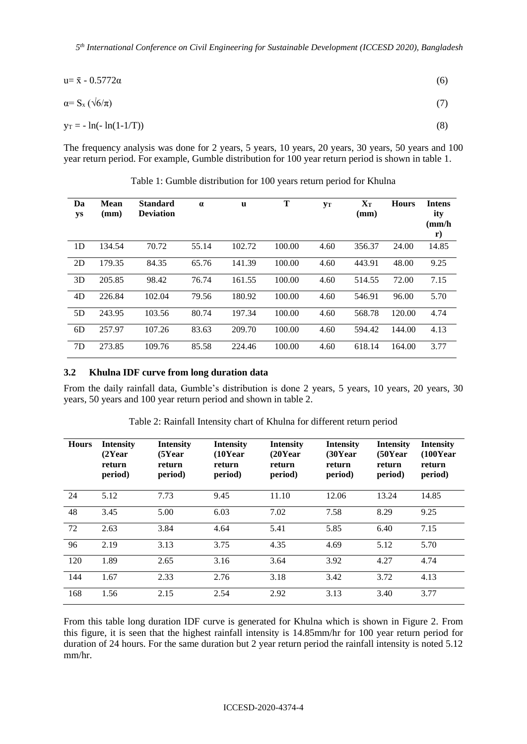*5 th International Conference on Civil Engineering for Sustainable Development (ICCESD 2020), Bangladesh*

$$
u = \bar{x} - 0.5772\alpha\tag{6}
$$

$$
\alpha = S_{\mathbf{x}} \left( \sqrt{6/\pi} \right) \tag{7}
$$

$$
y_T = -\ln(-\ln(1 - 1/T))\tag{8}
$$

The frequency analysis was done for 2 years, 5 years, 10 years, 20 years, 30 years, 50 years and 100 year return period. For example, Gumble distribution for 100 year return period is shown in table 1.

| Da<br>ys       | <b>Mean</b><br>(mm) | <b>Standard</b><br><b>Deviation</b> | $\alpha$ | <b>u</b> | T      | yт   | $\mathbf{X_{T}}$<br>(mm) | <b>Hours</b> | <b>Intens</b><br>ity<br>$\rm (mm/h)$<br>r) |
|----------------|---------------------|-------------------------------------|----------|----------|--------|------|--------------------------|--------------|--------------------------------------------|
| 1D             | 134.54              | 70.72                               | 55.14    | 102.72   | 100.00 | 4.60 | 356.37                   | 24.00        | 14.85                                      |
| 2D             | 179.35              | 84.35                               | 65.76    | 141.39   | 100.00 | 4.60 | 443.91                   | 48.00        | 9.25                                       |
| 3D             | 205.85              | 98.42                               | 76.74    | 161.55   | 100.00 | 4.60 | 514.55                   | 72.00        | 7.15                                       |
| 4D             | 226.84              | 102.04                              | 79.56    | 180.92   | 100.00 | 4.60 | 546.91                   | 96.00        | 5.70                                       |
| 5D             | 243.95              | 103.56                              | 80.74    | 197.34   | 100.00 | 4.60 | 568.78                   | 120.00       | 4.74                                       |
| 6 <sub>D</sub> | 257.97              | 107.26                              | 83.63    | 209.70   | 100.00 | 4.60 | 594.42                   | 144.00       | 4.13                                       |
| 7D             | 273.85              | 109.76                              | 85.58    | 224.46   | 100.00 | 4.60 | 618.14                   | 164.00       | 3.77                                       |

Table 1: Gumble distribution for 100 years return period for Khulna

### **3.2 Khulna IDF curve from long duration data**

From the daily rainfall data, Gumble's distribution is done 2 years, 5 years, 10 years, 20 years, 30 years, 50 years and 100 year return period and shown in table 2.

| <b>Hours</b> | <b>Intensity</b><br>(2Year)<br>return<br>period) | <b>Intensity</b><br>$(5$ Year<br>return<br>period) | <b>Intensity</b><br>$(10$ Year<br>return<br>period) | <b>Intensity</b><br>$(20$ Year<br>return<br>period) | <b>Intensity</b><br>$(30$ Year<br>return<br>period) | <b>Intensity</b><br>$(50$ Year<br>return<br>period) | <b>Intensity</b><br>$(100$ Year<br>return<br>period) |
|--------------|--------------------------------------------------|----------------------------------------------------|-----------------------------------------------------|-----------------------------------------------------|-----------------------------------------------------|-----------------------------------------------------|------------------------------------------------------|
| 24           | 5.12                                             | 7.73                                               | 9.45                                                | 11.10                                               | 12.06                                               | 13.24                                               | 14.85                                                |
| 48           | 3.45                                             | 5.00                                               | 6.03                                                | 7.02                                                | 7.58                                                | 8.29                                                | 9.25                                                 |
| 72           | 2.63                                             | 3.84                                               | 4.64                                                | 5.41                                                | 5.85                                                | 6.40                                                | 7.15                                                 |
| 96           | 2.19                                             | 3.13                                               | 3.75                                                | 4.35                                                | 4.69                                                | 5.12                                                | 5.70                                                 |
| 120          | 1.89                                             | 2.65                                               | 3.16                                                | 3.64                                                | 3.92                                                | 4.27                                                | 4.74                                                 |
| 144          | 1.67                                             | 2.33                                               | 2.76                                                | 3.18                                                | 3.42                                                | 3.72                                                | 4.13                                                 |
| 168          | 1.56                                             | 2.15                                               | 2.54                                                | 2.92                                                | 3.13                                                | 3.40                                                | 3.77                                                 |

Table 2: Rainfall Intensity chart of Khulna for different return period

From this table long duration IDF curve is generated for Khulna which is shown in Figure 2. From this figure, it is seen that the highest rainfall intensity is 14.85mm/hr for 100 year return period for duration of 24 hours. For the same duration but 2 year return period the rainfall intensity is noted 5.12 mm/hr.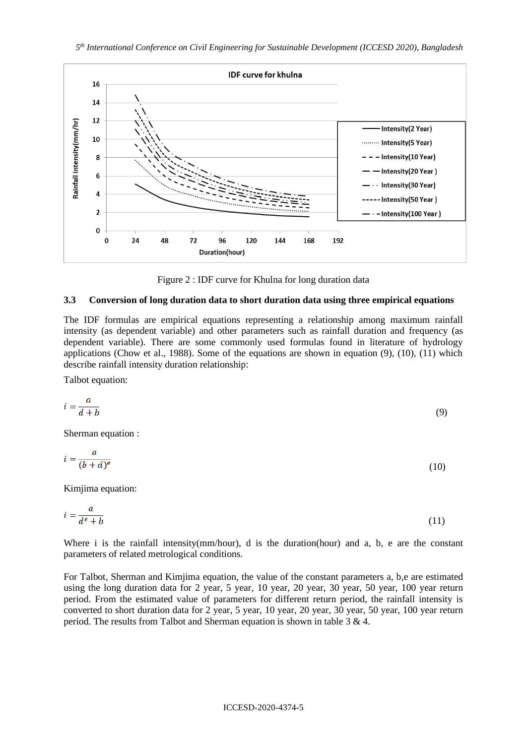

Figure 2 : IDF curve for Khulna for long duration data

#### **3.3 Conversion of long duration data to short duration data using three empirical equations**

The IDF formulas are empirical equations representing a relationship among maximum rainfall intensity (as dependent variable) and other parameters such as rainfall duration and frequency (as dependent variable). There are some commonly used formulas found in literature of hydrology applications (Chow et al., 1988). Some of the equations are shown in equation (9), (10), (11) which describe rainfall intensity duration relationship:

Talbot equation:

$$
i = \frac{a}{d+b} \tag{9}
$$

Sherman equation :

$$
i = \frac{a}{(b+d)^e} \tag{10}
$$

Kimjima equation:

$$
i = \frac{a}{d^e + b} \tag{11}
$$

Where i is the rainfall intensity(mm/hour), d is the duration(hour) and a, b, e are the constant parameters of related metrological conditions.

For Talbot, Sherman and Kimjima equation, the value of the constant parameters a, b,e are estimated using the long duration data for 2 year, 5 year, 10 year, 20 year, 30 year, 50 year, 100 year return period. From the estimated value of parameters for different return period, the rainfall intensity is converted to short duration data for 2 year, 5 year, 10 year, 20 year, 30 year, 50 year, 100 year return period. The results from Talbot and Sherman equation is shown in table 3 & 4.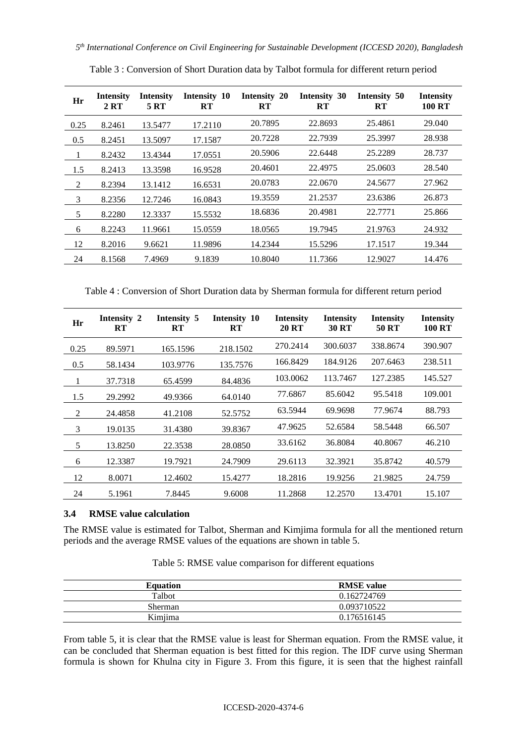| Hr   | Intensity<br>2 RT | <b>Intensity</b><br>5 RT | Intensity 10<br><b>RT</b> | Intensity 20<br>RT | Intensity 30<br><b>RT</b> | Intensity 50<br><b>RT</b> | <b>Intensity</b><br>100 RT |
|------|-------------------|--------------------------|---------------------------|--------------------|---------------------------|---------------------------|----------------------------|
| 0.25 | 8.2461            | 13.5477                  | 17.2110                   | 20.7895            | 22.8693                   | 25.4861                   | 29.040                     |
| 0.5  | 8.2451            | 13.5097                  | 17.1587                   | 20.7228            | 22.7939                   | 25.3997                   | 28.938                     |
| 1    | 8.2432            | 13.4344                  | 17.0551                   | 20.5906            | 22.6448                   | 25.2289                   | 28.737                     |
| 1.5  | 8.2413            | 13.3598                  | 16.9528                   | 20.4601            | 22.4975                   | 25.0603                   | 28.540                     |
| 2    | 8.2394            | 13.1412                  | 16.6531                   | 20.0783            | 22.0670                   | 24.5677                   | 27.962                     |
| 3    | 8.2356            | 12.7246                  | 16.0843                   | 19.3559            | 21.2537                   | 23.6386                   | 26.873                     |
| 5    | 8.2280            | 12.3337                  | 15.5532                   | 18.6836            | 20.4981                   | 22.7771                   | 25.866                     |
| 6    | 8.2243            | 11.9661                  | 15.0559                   | 18.0565            | 19.7945                   | 21.9763                   | 24.932                     |
| 12   | 8.2016            | 9.6621                   | 11.9896                   | 14.2344            | 15.5296                   | 17.1517                   | 19.344                     |
| 24   | 8.1568            | 7.4969                   | 9.1839                    | 10.8040            | 11.7366                   | 12.9027                   | 14.476                     |

Table 3 : Conversion of Short Duration data by Talbot formula for different return period

Table 4 : Conversion of Short Duration data by Sherman formula for different return period

| Hr   | Intensity 2<br><b>RT</b> | Intensity 5<br><b>RT</b> | Intensity 10<br>${\bf RT}$ | <b>Intensity</b><br><b>20 RT</b> | <b>Intensity</b><br><b>30 RT</b> | <b>Intensity</b><br>50 RT | <b>Intensity</b><br><b>100 RT</b> |
|------|--------------------------|--------------------------|----------------------------|----------------------------------|----------------------------------|---------------------------|-----------------------------------|
| 0.25 | 89.5971                  | 165.1596                 | 218.1502                   | 270.2414                         | 300.6037                         | 338.8674                  | 390.907                           |
| 0.5  | 58.1434                  | 103.9776                 | 135,7576                   | 166.8429                         | 184.9126                         | 207.6463                  | 238.511                           |
| 1    | 37.7318                  | 65.4599                  | 84.4836                    | 103.0062                         | 113.7467                         | 127.2385                  | 145.527                           |
| 1.5  | 29.2992                  | 49.9366                  | 64.0140                    | 77.6867                          | 85.6042                          | 95.5418                   | 109.001                           |
| 2    | 24.4858                  | 41.2108                  | 52.5752                    | 63.5944                          | 69.9698                          | 77.9674                   | 88.793                            |
| 3    | 19.0135                  | 31.4380                  | 39.8367                    | 47.9625                          | 52.6584                          | 58.5448                   | 66.507                            |
| 5    | 13.8250                  | 22.3538                  | 28.0850                    | 33.6162                          | 36.8084                          | 40.8067                   | 46.210                            |
| 6    | 12.3387                  | 19.7921                  | 24.7909                    | 29.6113                          | 32.3921                          | 35.8742                   | 40.579                            |
| 12   | 8.0071                   | 12.4602                  | 15.4277                    | 18.2816                          | 19.9256                          | 21.9825                   | 24.759                            |
| 24   | 5.1961                   | 7.8445                   | 9.6008                     | 11.2868                          | 12.2570                          | 13.4701                   | 15.107                            |

### **3.4 RMSE value calculation**

The RMSE value is estimated for Talbot, Sherman and Kimjima formula for all the mentioned return periods and the average RMSE values of the equations are shown in table 5.

| <b>Equation</b> | <b>RMSE</b> value |
|-----------------|-------------------|
| <b>Talbot</b>   | 0.162724769       |
| Sherman         | 0.093710522       |
| Kimiima         | 0.176516145       |

Table 5: RMSE value comparison for different equations

From table 5, it is clear that the RMSE value is least for Sherman equation. From the RMSE value, it can be concluded that Sherman equation is best fitted for this region. The IDF curve using Sherman formula is shown for Khulna city in Figure 3. From this figure, it is seen that the highest rainfall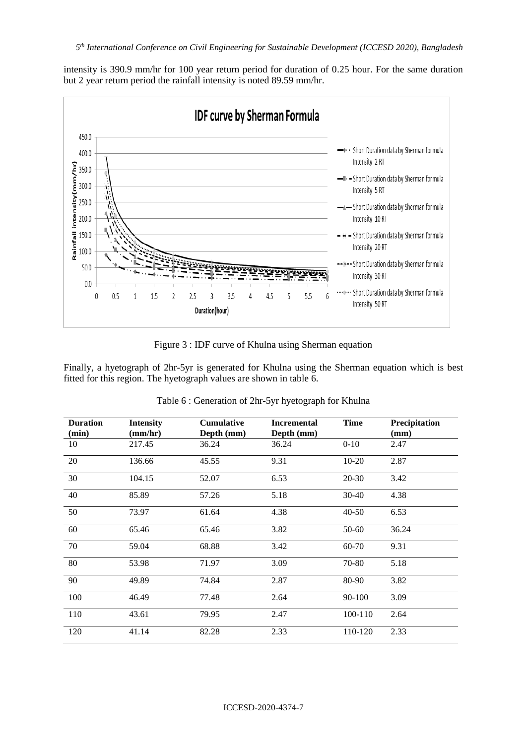intensity is 390.9 mm/hr for 100 year return period for duration of 0.25 hour. For the same duration but 2 year return period the rainfall intensity is noted 89.59 mm/hr.



Figure 3 : IDF curve of Khulna using Sherman equation

Finally, a hyetograph of 2hr-5yr is generated for Khulna using the Sherman equation which is best fitted for this region. The hyetograph values are shown in table 6.

| <b>Duration</b><br>(min) | <b>Intensity</b><br>(mm/hr) | <b>Cumulative</b><br>Depth (mm) | <b>Incremental</b><br>Depth (mm) | <b>Time</b> | Precipitation<br>(mm) |
|--------------------------|-----------------------------|---------------------------------|----------------------------------|-------------|-----------------------|
| 10                       | 217.45                      | 36.24                           | 36.24                            | $0 - 10$    | 2.47                  |
| 20                       | 136.66                      | 45.55                           | 9.31                             | $10-20$     | 2.87                  |
| 30                       | 104.15                      | 52.07                           | 6.53                             | $20-30$     | 3.42                  |
| 40                       | 85.89                       | 57.26                           | 5.18                             | $30 - 40$   | 4.38                  |
| 50                       | 73.97                       | 61.64                           | 4.38                             | $40 - 50$   | 6.53                  |
| 60                       | 65.46                       | 65.46                           | 3.82                             | $50 - 60$   | 36.24                 |
| 70                       | 59.04                       | 68.88                           | 3.42                             | 60-70       | 9.31                  |
| 80                       | 53.98                       | 71.97                           | 3.09                             | 70-80       | 5.18                  |
| 90                       | 49.89                       | 74.84                           | 2.87                             | 80-90       | 3.82                  |
| 100                      | 46.49                       | 77.48                           | 2.64                             | 90-100      | 3.09                  |
| 110                      | 43.61                       | 79.95                           | 2.47                             | 100-110     | 2.64                  |
| 120                      | 41.14                       | 82.28                           | 2.33                             | 110-120     | 2.33                  |

Table 6 : Generation of 2hr-5yr hyetograph for Khulna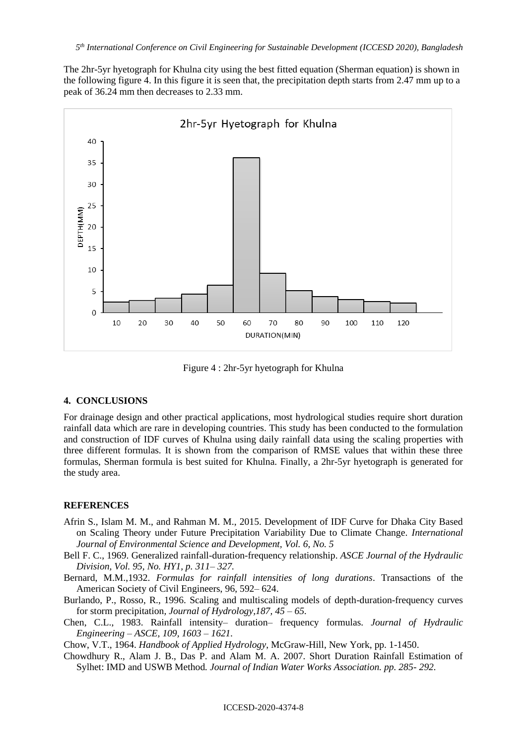The 2hr-5yr hyetograph for Khulna city using the best fitted equation (Sherman equation) is shown in the following figure 4. In this figure it is seen that, the precipitation depth starts from 2.47 mm up to a peak of 36.24 mm then decreases to 2.33 mm.



Figure 4 : 2hr-5yr hyetograph for Khulna

## **4. CONCLUSIONS**

For drainage design and other practical applications, most hydrological studies require short duration rainfall data which are rare in developing countries. This study has been conducted to the formulation and construction of IDF curves of Khulna using daily rainfall data using the scaling properties with three different formulas. It is shown from the comparison of RMSE values that within these three formulas, Sherman formula is best suited for Khulna. Finally, a 2hr-5yr hyetograph is generated for the study area.

### **REFERENCES**

- Afrin S., Islam M. M., and Rahman M. M., 2015. Development of IDF Curve for Dhaka City Based on Scaling Theory under Future Precipitation Variability Due to Climate Change. *International Journal of Environmental Science and Development, Vol. 6, No. 5*
- Bell F. C., 1969. Generalized rainfall-duration-frequency relationship. *ASCE Journal of the Hydraulic Division, Vol. 95, No. HY1, p. 311– 327.*
- Bernard, M.M.,1932. *Formulas for rainfall intensities of long durations*. Transactions of the American Society of Civil Engineers, 96, 592– 624.
- Burlando, P., Rosso, R., 1996. Scaling and multiscaling models of depth-duration-frequency curves for storm precipitation*, Journal of Hydrology,187, 45 – 65.*
- Chen, C.L., 1983. Rainfall intensity– duration– frequency formulas. *Journal of Hydraulic Engineering – ASCE, 109, 1603 – 1621.*

Chow, V.T., 1964. *Handbook of Applied Hydrology*, McGraw-Hill, New York, pp. 1-1450.

Chowdhury R., Alam J. B., Das P. and Alam M. A. 2007. Short Duration Rainfall Estimation of Sylhet: IMD and USWB Method*. Journal of Indian Water Works Association. pp. 285- 292.*